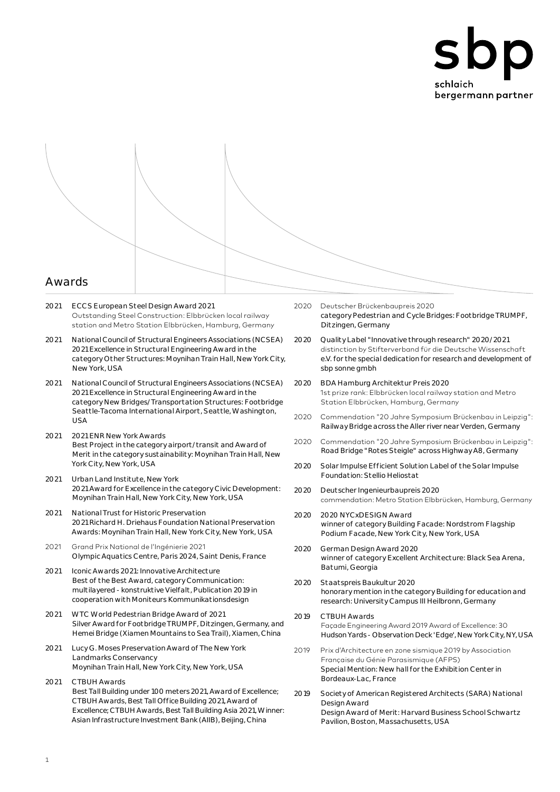

- 2021 ECCS European Steel Design Award 2021 Outstanding Steel Construction: Elbbrücken local railway station and Metro Station Elbbrücken, Hamburg, Germany
- 2021 National Council of Structural Engineers Associations (NCSEA) 2021 Excellence in Structural Engineering Award in the category Other Structures: Moynihan Train Hall, New York City, New York, USA
- 2021 National Council of Structural Engineers Associations (NCSEA) 2021 Excellence in Structural Engineering Award in the category New Bridges/Transportation Structures: Footbridge Seattle-Tacoma International Airport, Seattle, Washington,  $IISA$
- 2021 2021 ENR New York Awards Best Project in the category airport/transit and Award of Merit in the category sustainability: Moynihan Train Hall, New York City, New York, USA
- 2021 Urban Land Institute, New York 2021 Award for Excellence in the category Civic Development: Moynihan Train Hall, New York City, New York, USA
- 2021 National Trust for Historic Preservation 2021 Richard H. Driehaus Foundation National Preservation Awards: Moynihan Train Hall, New York City, New York, USA
- 2021 Grand Prix National de l'Ingénierie 2021 Olympic Aquatics Centre, Paris 2024, Saint Denis, France
- 2021 Iconic Awards 2021: Innovative Architecture Best of the Best Award, category Communication: multilayered - konstruktive Vielfalt, Publication 2019 in cooperation with Moniteurs Kommunikationsdesign
- 2021 WTC World Pedestrian Bridge Award of 2021 Silver Award for Footbridge TRUMPF, Ditzingen, Germany, and Hemei Bridge (Xiamen Mountains to Sea Trail), Xiamen, China
- 2021 Lucy G. Moses Preservation Award of The New York Landmarks Conservancy Moynihan Train Hall, New York City, New York, USA
- 2021 CTBUH Awards Best Tall Building under 100 meters 2021, Award of Excellence; CTBUH Awards, Best Tall Office Building 2021, Award of Excellence; CTBUH Awards, Best Tall Building Asia 2021, Winner: Asian Infrastructure Investment Bank (AIIB), Beijing, China
- 2020 Deutscher Brückenbaupreis 2020 category Pedestrian and Cycle Bridges: Footbridge TRUMPF, Ditzingen, Germany
- 2020 Quality Label "Innovative through research" 2020/2021 distinction by Stifterverband für die Deutsche Wissenschaft e.V. for the special dedication for research and development of sbp sonne gmbh
- 2020 BDA Hamburg Architektur Preis 2020 1st prize rank: Elbbrücken local railway station and Metro Station Elbbrücken, Hamburg, Germany
- 2020 Commendation "20 Jahre Symposium Brückenbau in Leipzig": Railway Bridge across the Aller river near Verden, Germany
- 2020 Commendation "20 Jahre Symposium Brückenbau in Leipzig": Road Bridge "Rotes Steigle" across Highway A8, Germany
- 2020 Solar Impulse Efficient Solution Label of the Solar Impulse Foundation: Stellio Heliostat
- 2020 Deutscher Ingenieurbaupreis 2020 commendation: Metro Station Elbbrücken, Hamburg, Germany
- 2020 2020 NYCxDESIGN Award winner of category Building Facade: Nordstrom Flagship Podium Facade, New York City, New York, USA
- 2020 German Design Award 2020 winner of category Excellent Architecture: Black Sea Arena, Batumi, Georgia
- 2020 Staatspreis Baukultur 2020 honorary mention in the category Building for education and research: University Campus III Heilbronn, Germany
- 2019 CTBUH Awards Façade Engineering Award 2019 Award of Excellence: 30 Hudson Yards - Observation Deck 'Edge', New York City, NY, USA
- 2019 Prix d'Architecture en zone sismique 2019 by Association Française du Génie Parasismique (AFPS) Special Mention: New hall for the Exhibition Center in Bordeaux-Lac, France
- 2019 Society of American Registered Architects (SARA) National Design Award Design Award of Merit: Harvard Business School Schwartz Pavilion, Boston, Massachusetts, USA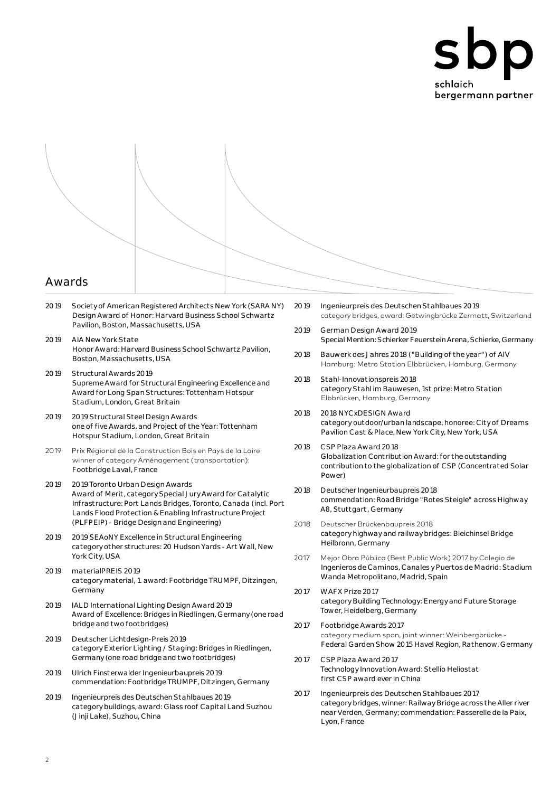

- 2019 Society of American Registered Architects New York (SARA NY) Design Award of Honor: Harvard Business School Schwartz Pavilion, Boston, Massachusetts, USA
- 2019 AIA New York State Honor Award: Harvard Business School Schwartz Pavilion, Boston, Massachusetts, USA
- 2019 Structural Awards 2019 Supreme Award for Structural Engineering Excellence and Award for Long Span Structures: Tottenham Hotspur Stadium, London, Great Britain
- 2019 2019 Structural Steel Design Awards one of five Awards, and Project of the Year: Tottenham Hotspur Stadium, London, Great Britain
- 2019 Prix Régional de la Construction Bois en Pays de la Loire winner of category Aménagement (transportation): Footbridge Laval, France
- 2019 2019 Toronto Urban Design Awards Award of Merit, category Special Jury Award for Catalytic Infrastructure: Port Lands Bridges, Toronto, Canada (incl. Port Lands Flood Protection & Enabling Infrastructure Project (PLFPEIP) - Bridge Design and Engineering)
- 2019 2019 SEAoNY Excellence in Structural Engineering category other structures: 20 Hudson Yards - Art Wall, New York City, USA
- 2019 materialPREIS 2019 category material, 1. award: Footbridge TRUMPF, Ditzingen, Germany
- 2019 IALD International Lighting Design Award 2019 Award of Excellence: Bridges in Riedlingen, Germany (one road bridge and two footbridges)
- 2019 Deutscher Lichtdesign-Preis 2019 category Exterior Lighting / Staging: Bridges in Riedlingen, Germany (one road bridge and two footbridges)
- 2019 Ulrich Finsterwalder Ingenieurbaupreis 2019 commendation: Footbridge TRUMPF, Ditzingen, Germany
- 2019 Ingenieurpreis des Deutschen Stahlbaues 2019 category buildings, award: Glass roof Capital Land Suzhou (Jinji Lake), Suzhou, China
- 2019 Ingenieurpreis des Deutschen Stahlbaues 2019 category bridges, award: Getwingbrücke Zermatt, Switzerland
- 2019 German Design Award 2019 Special Mention: Schierker Feuerstein Arena, Schierke, Germany
- 2018 Bauwerk des Jahres 2018 ("Building of the year") of AIV Hamburg: Metro Station Elbbrücken, Hamburg, Germany
- 2018 Stahl-Innovationspreis 2018 category Stahl im Bauwesen, 1st prize: Metro Station Elbbrücken, Hamburg, Germany
- 2018 2018 NYCxDESIGN Award category outdoor/urban landscape, honoree: City of Dreams Pavilion Cast & Place, New York City, New York, USA
- 2018 CSP Plaza Award 2018 Globalization Contribution Award: for the outstanding contribution to the globalization of CSP (Concentrated Solar Power)
- 2018 Deutscher Ingenieurbaupreis 2018 commendation: Road Bridge "Rotes Steigle" across Highway A8, Stuttgart, Germany
- 2018 Deutscher Brückenbaupreis 2018 category highway and railway bridges: Bleichinsel Bridge Heilbronn, Germany
- 2017 Mejor Obra Pública (Best Public Work) 2017 by Colegio de Ingenieros de Caminos, Canales y Puertos de Madrid: Stadium Wanda Metropolitano, Madrid, Spain
- 2017 WAFX Prize 2017 category Building Technology: Energy and Future Storage Tower, Heidelberg, Germany
- 2017 Footbridge Awards 2017 category medium span, joint winner: Weinbergbrücke - Federal Garden Show 2015 Havel Region, Rathenow, Germany
- 2017 CSP Plaza Award 2017 Technology Innovation Award: Stellio Heliostat first CSP award ever in China
- 2017 Ingenieurpreis des Deutschen Stahlbaues 2017 category bridges, winner: Railway Bridge across the Aller river near Verden, Germany; commendation: Passerelle de la Paix, Lyon, France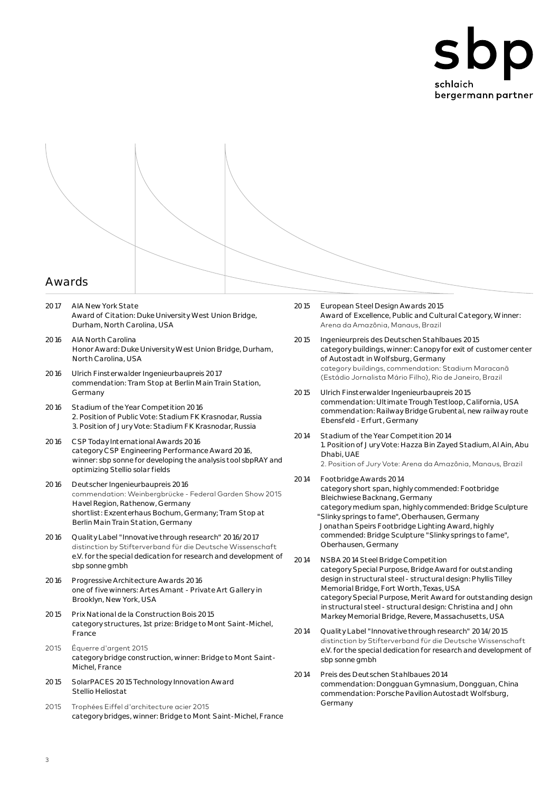



- 2017 AIA New York State Award of Citation: Duke University West Union Bridge, Durham, North Carolina, USA
- 2016 AIA North Carolina Honor Award: Duke University West Union Bridge, Durham, North Carolina, USA
- 2016 Ulrich Finsterwalder Ingenieurbaupreis 2017 commendation: Tram Stop at Berlin Main Train Station, Germany
- 2016 Stadium of the Year Competition 2016 2. Position of Public Vote: Stadium FK Krasnodar, Russia 3. Position of Jury Vote: Stadium FK Krasnodar, Russia
- 2016 CSP Today International Awards 2016 category CSP Engineering Performance Award 2016, winner: sbp sonne for developing the analysis tool sbpRAY and optimizing Stellio solar fields
- 2016 Deutscher Ingenieurbaupreis 2016 commendation: Weinbergbrücke - Federal Garden Show 2015 Havel Region, Rathenow, Germany shortlist: Exzenterhaus Bochum, Germany; Tram Stop at Berlin Main Train Station, Germany
- 2016 Quality Label "Innovative through research" 2016/2017 distinction by Stifterverband für die Deutsche Wissenschaft e.V. for the special dedication for research and development of sbp sonne gmbh
- 2016 Progressive Architecture Awards 2016 one of five winners: Artes Amant - Private Art Gallery in Brooklyn, New York, USA
- 2015 Prix National de la Construction Bois 2015 category structures, 1st prize: Bridge to Mont Saint-Michel, France
- 2015 Équerre d'argent 2015 category bridge construction, winner: Bridge to Mont Saint-Michel, France
- 2015 SolarPACES 2015 Technology Innovation Award Stellio Heliostat
- 2015 Trophées Eiffel d'architecture acier 2015 category bridges, winner: Bridge to Mont Saint-Michel, France
- 2015 European Steel Design Awards 2015 Award of Excellence, Public and Cultural Category, Winner: Arena da Amazônia, Manaus, Brazil
- 2015 Ingenieurpreis des Deutschen Stahlbaues 2015 category buildings, winner: Canopy for exit of customer center of Autostadt in Wolfsburg, Germany category buildings, commendation: Stadium Maracanã (Estádio Jornalista Mário Filho), Rio de Janeiro, Brazil
- 2015 Ulrich Finsterwalder Ingenieurbaupreis 2015 commendation: Ultimate Trough Testloop, California, USA commendation: Railway Bridge Grubental, new railway route Ebensfeld - Erfurt, Germany
- 2014 Stadium of the Year Competition 2014 1. Position of Jury Vote: Hazza Bin Zayed Stadium, Al Ain, Abu Dhabi, UAE 2. Position of Jury Vote: Arena da Amazônia, Manaus, Brazil
- 2014 Footbridge Awards 2014 category short span, highly commended: Footbridge Bleichwiese Backnang, Germany category medium span, highly commended: Bridge Sculpture "Slinky springs to fame", Oberhausen, Germany Jonathan Speirs Footbridge Lighting Award, highly commended: Bridge Sculpture "Slinky springs to fame", Oberhausen, Germany
- 2014 NSBA 2014 Steel Bridge Competition category Special Purpose, Bridge Award for outstanding design in structural steel - structural design: Phyllis Tilley Memorial Bridge, Fort Worth, Texas, USA category Special Purpose, Merit Award for outstanding design in structural steel - structural design: Christina and John Markey Memorial Bridge, Revere, Massachusetts, USA
- 2014 Quality Label "Innovative through research" 2014/2015 distinction by Stifterverband für die Deutsche Wissenschaft e.V. for the special dedication for research and development of sbp sonne gmbh
- 2014 Preis des Deutschen Stahlbaues 2014 commendation: Dongguan Gymnasium, Dongguan, China commendation: Porsche Pavilion Autostadt Wolfsburg, Germany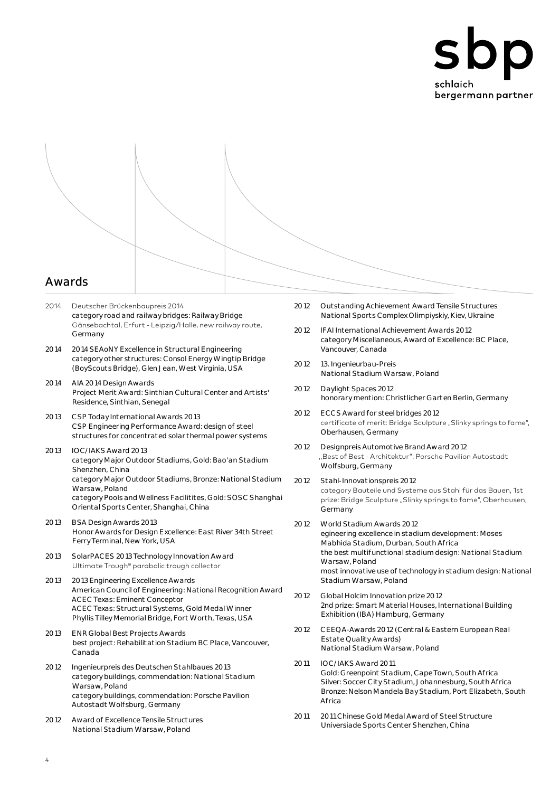



- 2014 Deutscher Brückenbaupreis 2014 category road and railway bridges: Railway Bridge Gänsebachtal, Erfurt - Leipzig/Halle, new railway route, Germany
- 2014 2014 SEAoNY Excellence in Structural Engineering category other structures: Consol Energy Wingtip Bridge (BoyScouts Bridge), Glen Jean, West Virginia, USA
- 2014 AIA 2014 Design Awards Project Merit Award: Sinthian Cultural Center and Artists' Residence, Sinthian, Senegal
- 2013 CSP Today International Awards 2013 CSP Engineering Performance Award: design of steel structures for concentrated solar thermal power systems
- 2013 IOC/IAKS Award 2013 category Major Outdoor Stadiums, Gold: Bao'an Stadium Shenzhen, China category Major Outdoor Stadiums, Bronze: National Stadium Warsaw, Poland category Pools and Wellness Facilitites, Gold: SOSC Shanghai Oriental Sports Center, Shanghai, China
- 2013 BSA Design Awards 2013 Honor Awards for Design Excellence: East River 34th Street Ferry Terminal, New York, USA
- 2013 SolarPACES 2013 Technology Innovation Award Ultimate Trough® parabolic trough collector
- 2013 2013 Engineering Excellence Awards American Council of Engineering: National Recognition Award ACEC Texas: Eminent Conceptor ACEC Texas: Structural Systems, Gold Medal Winner Phyllis Tilley Memorial Bridge, Fort Worth, Texas, USA
- 2013 ENR Global Best Projects Awards best project: Rehabilitation Stadium BC Place, Vancouver, Canada
- 2012 Ingenieurpreis des Deutschen Stahlbaues 2013 category buildings, commendation: National Stadium Warsaw, Poland category buildings, commendation: Porsche Pavilion Autostadt Wolfsburg, Germany
- 2012 Award of Excellence Tensile Structures National Stadium Warsaw, Poland
- 2012 Outstanding Achievement Award Tensile Structures National Sports Complex Olimpiyskiy, Kiev, Ukraine
- 2012 IFAI International Achievement Awards 2012 category Miscellaneous, Award of Excellence: BC Place, Vancouver, Canada
- 2012 13. Ingenieurbau-Preis National Stadium Warsaw, Poland
- 2012 Daylight Spaces 2012 honorary mention: Christlicher Garten Berlin, Germany
- 2012 ECCS Award for steel bridges 2012 certificate of merit: Bridge Sculpture "Slinky springs to fame", Oberhausen, Germany
- 2012 Designpreis Automotive Brand Award 2012 ,,Best of Best - Architektur": Porsche Pavilion Autostadt Wolfsburg, Germany
- 2012 Stahl-Innovationspreis 2012 category Bauteile und Systeme aus Stahl für das Bauen, 1st prize: Bridge Sculpture "Slinky springs to fame", Oberhausen, Germany
- 2012 World Stadium Awards 2012 egineering excellence in stadium development: Moses Mabhida Stadium, Durban, South Africa the best multifunctional stadium design: National Stadium Warsaw, Poland most innovative use of technology in stadium design: National Stadium Warsaw, Poland
- 2012 Global Holcim Innovation prize 2012 2nd prize: Smart Material Houses, International Building Exhibition (IBA) Hamburg, Germany
- 2012 CEEQA-Awards 2012 (Central & Eastern European Real Estate Quality Awards) National Stadium Warsaw, Poland
- 2011 IOC/IAKS Award 2011 Gold: Greenpoint Stadium, Cape Town, South Africa Silver: Soccer City Stadium, Johannesburg, South Africa Bronze: Nelson Mandela Bay Stadium, Port Elizabeth, South Africa
- 2011 2011 Chinese Gold Medal Award of Steel Structure Universiade Sports Center Shenzhen, China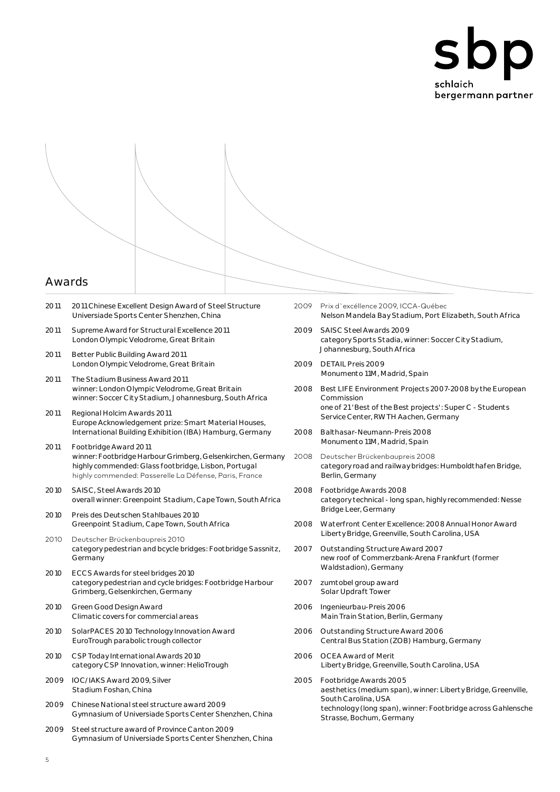

- 2011 2011 Chinese Excellent Design Award of Steel Structure Universiade Sports Center Shenzhen, China
- 2011 Supreme Award for Structural Excellence 2011 London Olympic Velodrome, Great Britain
- 2011 Better Public Building Award 2011 London Olympic Velodrome, Great Britain
- 2011 The Stadium Business Award 2011 winner: London Olympic Velodrome, Great Britain winner: Soccer City Stadium, Johannesburg, South Africa
- 2011 Regional Holcim Awards 2011 Europe Acknowledgement prize: Smart Material Houses, International Building Exhibition (IBA) Hamburg, Germany
- 2011 Footbridge Award 2011 winner: Footbridge Harbour Grimberg, Gelsenkirchen, Germany highly commended: Glass footbridge, Lisbon, Portugal highly commended: Passerelle La Défense, Paris, France
- 2010 SAISC, Steel Awards 2010 overall winner: Greenpoint Stadium, Cape Town, South Africa
- 2010 Preis des Deutschen Stahlbaues 2010 Greenpoint Stadium, Cape Town, South Africa
- 2010 Deutscher Brückenbaupreis 2010 category pedestrian and bcycle bridges: Footbridge Sassnitz, Germany
- 2010 ECCS Awards for steel bridges 2010 category pedestrian and cycle bridges: Footbridge Harbour Grimberg, Gelsenkirchen, Germany
- 2010 Green Good Design Award Climatic covers for commercial areas
- 2010 SolarPACES 2010 Technology Innovation Award EuroTrough parabolic trough collector
- 2010 CSP Today International Awards 2010 category CSP Innovation, winner: HelioTrough
- 2009 IOC/IAKS Award 2009, Silver Stadium Foshan, China
- 2009 Chinese National steel structure award 2009 Gymnasium of Universiade Sports Center Shenzhen, China
- 2009 Steel structure award of Province Canton 2009 Gymnasium of Universiade Sports Center Shenzhen, China
- 2009 Prix d`excéllence 2009, ICCA-Québec Nelson Mandela Bay Stadium, Port Elizabeth, South Africa
- 2009 SAISC Steel Awards 2009 category Sports Stadia, winner: Soccer City Stadium, Johannesburg, South Africa
- 2009 DETAIL Preis 2009 Monumento 11M, Madrid, Spain
- 2008 Best LIFE Environment Projects 2007-2008 by the European Commission one of 21 'Best of the Best projects': Super C - Students Service Center, RWTH Aachen, Germany
- 2008 Balthasar-Neumann-Preis 2008 Monumento 11M, Madrid, Spain
- 2008 Deutscher Brückenbaupreis 2008 category road and railway bridges: Humboldthafen Bridge, Berlin, Germany
- 2008 Footbridge Awards 2008 category technical - long span, highly recommended: Nesse Bridge Leer, Germany
- 2008 Waterfront Center Excellence: 2008 Annual Honor Award Liberty Bridge, Greenville, South Carolina, USA
- 2007 Outstanding Structure Award 2007 new roof of Commerzbank-Arena Frankfurt (former Waldstadion), Germany
- 2007 zumtobel group award Solar Updraft Tower
- 2006 Ingenieurbau-Preis 2006 Main Train Station, Berlin, Germany
- 2006 Outstanding Structure Award 2006 Central Bus Station (ZOB) Hamburg, Germany
- 2006 OCEA Award of Merit Liberty Bridge, Greenville, South Carolina, USA
- 2005 Footbridge Awards 2005 aesthetics (medium span), winner: Liberty Bridge, Greenville, South Carolina, USA technology (long span), winner: Footbridge across Gahlensche Strasse, Bochum, Germany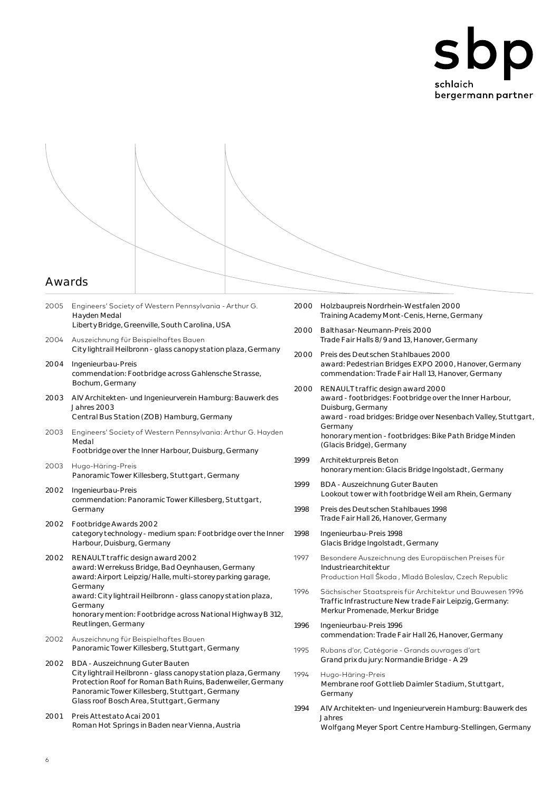

- 2005 Engineers' Society of Western Pennsylvania Arthur G. Hayden Medal Liberty Bridge, Greenville, South Carolina, USA 2004 Auszeichnung für Beispielhaftes Bauen City lightrail Heilbronn - glass canopy station plaza, Germany 2004 Ingenieurbau-Preis commendation: Footbridge across Gahlensche Strasse, Bochum, Germany 2003 AIV Architekten- und Ingenieurverein Hamburg: Bauwerk des Jahres 2003 Central Bus Station (ZOB) Hamburg, Germany 2003 Engineers' Society of Western Pennsylvania: Arthur G. Hayden Medal Footbridge over the Inner Harbour, Duisburg, Germany
- 2003 Hugo-Häring-Preis Panoramic Tower Killesberg, Stuttgart, Germany
- 2002 Ingenieurbau-Preis commendation: Panoramic Tower Killesberg, Stuttgart, Germany
- 2002 Footbridge Awards 2002 category technology - medium span: Footbridge over the Inner Harbour, Duisburg, Germany
- 2002 RENAULT traffic design award 2002 award: Werrekuss Bridge, Bad Oeynhausen, Germany award: Airport Leipzig/Halle, multi-storey parking garage, Germany award: City lightrail Heilbronn - glass canopy station plaza, Germany honorary mention: Footbridge across National Highway B 312, Reutlingen, Germany
- 2002 Auszeichnung für Beispielhaftes Bauen Panoramic Tower Killesberg, Stuttgart, Germany
- 2002 BDA Auszeichnung Guter Bauten City lightrail Heilbronn - glass canopy station plaza, Germany Protection Roof for Roman Bath Ruins, Badenweiler, Germany Panoramic Tower Killesberg, Stuttgart, Germany Glass roof Bosch Area, Stuttgart, Germany
- 2001 Preis Attestato Acai 2001 Roman Hot Springs in Baden near Vienna, Austria
- 2000 Holzbaupreis Nordrhein-Westfalen 2000 Training Academy Mont-Cenis, Herne, Germany
- 2000 Balthasar-Neumann-Preis 2000 Trade Fair Halls 8/9 and 13, Hanover, Germany
- 2000 Preis des Deutschen Stahlbaues 2000 award: Pedestrian Bridges EXPO 2000, Hanover, Germany commendation: Trade Fair Hall 13, Hanover, Germany
- 2000 RENAULT traffic design award 2000 award - footbridges: Footbridge over the Inner Harbour, Duisburg, Germany award - road bridges: Bridge over Nesenbach Valley, Stuttgart, Germany honorary mention - footbridges: Bike Path Bridge Minden (Glacis Bridge), Germany
- 1999 Architekturpreis Beton honorary mention: Glacis Bridge Ingolstadt, Germany
- 1999 BDA Auszeichnung Guter Bauten Lookout tower with footbridge Weil am Rhein, Germany
- 1998 Preis des Deutschen Stahlbaues 1998 Trade Fair Hall 26, Hanover, Germany
- 1998 Ingenieurbau-Preis 1998 Glacis Bridge Ingolstadt, Germany
- 1997 Besondere Auszeichnung des Europäischen Preises für Industriearchitektur Production Hall Škoda , Mladá Boleslav, Czech Republic
- 1996 Sächsischer Staatspreis für Architektur und Bauwesen 1996 Traffic Infrastructure New trade Fair Leipzig, Germany: Merkur Promenade, Merkur Bridge
- 1996 Ingenieurbau-Preis 1996 commendation: Trade Fair Hall 26, Hanover, Germany
- 1995 Rubans d'or, Catégorie Grands ouvrages d'art Grand prix du jury: Normandie Bridge - A 29
- 1994 Hugo-Häring-Preis Membrane roof Gottlieb Daimler Stadium, Stuttgart, Germany
- 1994 AIV Architekten- und Ingenieurverein Hamburg: Bauwerk des Jahres Wolfgang Meyer Sport Centre Hamburg-Stellingen, Germany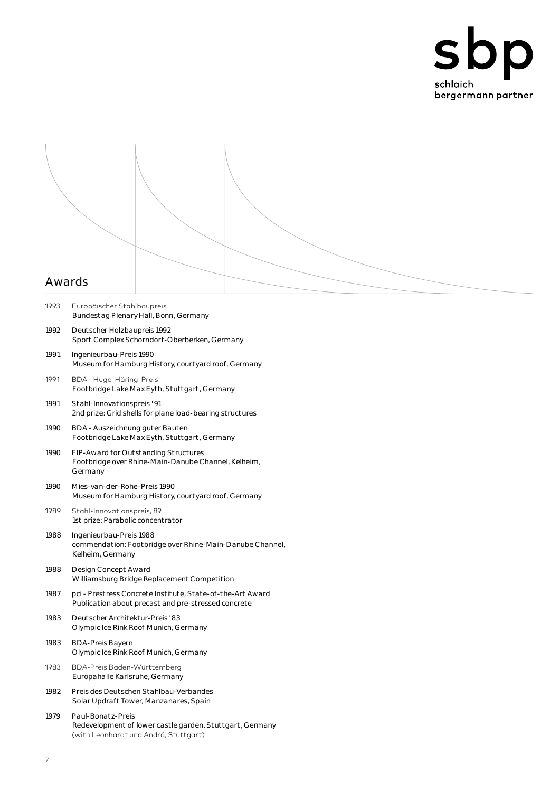



- 1993 Europäischer Stahlbaupreis Bundestag Plenary Hall, Bonn, Germany
- 1992 Deutscher Holzbaupreis 1992 Sport Complex Schorndorf-Oberberken, Germany
- 1991 Ingenieurbau-Preis 1990 Museum for Hamburg History, courtyard roof, Germany
- 1991 BDA Hugo-Häring-Preis Footbridge Lake Max Eyth, Stuttgart, Germany
- 1991 Stahl-Innovationspreis '91 2nd prize: Grid shells for plane load-bearing structures
- 1990 BDA Auszeichnung guter Bauten Footbridge Lake Max Eyth, Stuttgart, Germany
- 1990 FIP-Award for Outstanding Structures Footbridge over Rhine-Main-Danube Channel, Kelheim, Germany
- 1990 Mies-van-der-Rohe-Preis 1990 Museum for Hamburg History, courtyard roof, Germany
- 1989 Stahl-Innovationspreis, 89 1st prize: Parabolic concentrator
- 1988 Ingenieurbau-Preis 1988 commendation: Footbridge over Rhine-Main-Danube Channel, Kelheim, Germany
- 1988 Design Concept Award Williamsburg Bridge Replacement Competition
- 1987 pci Prestress Concrete Institute, State-of-the-Art Award Publication about precast and pre-stressed concrete
- 1983 Deutscher Architektur-Preis '83 Olympic Ice Rink Roof Munich, Germany
- 1983 BDA-Preis Bayern Olympic Ice Rink Roof Munich, Germany
- 1983 BDA-Preis Baden-Württemberg Europahalle Karlsruhe, Germany
- 1982 Preis des Deutschen Stahlbau-Verbandes Solar Updraft Tower, Manzanares, Spain
- 1979 Paul-Bonatz-Preis Redevelopment of lower castle garden, Stuttgart, Germany (with Leonhardt und Andrä, Stuttgart)